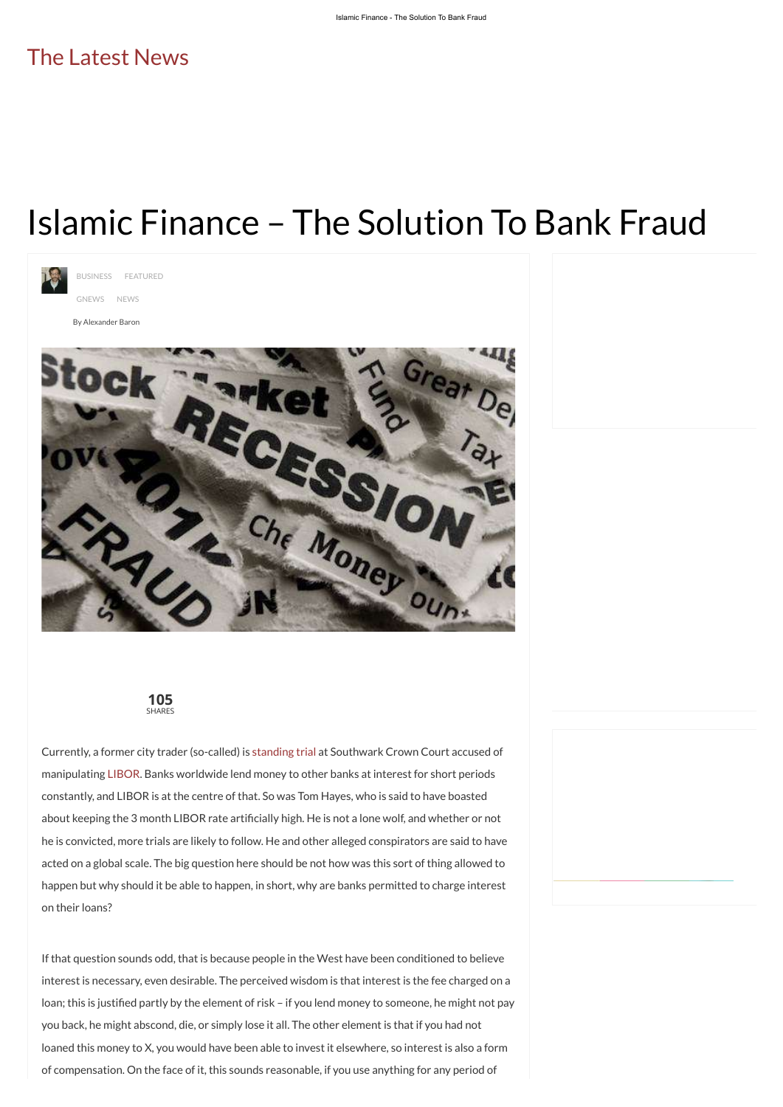Currently, a former city trader (so-called) is [standing](http://www.bbc.co.uk/news/business-32903415) trial at Southwark Crown Court accused of manipulating [LIBOR.](http://www.investopedia.com/terms/l/libor.asp) Banks worldwide lend money to other banks at interest for short periods constantly, and LIBOR is at the centre of that. So was Tom Hayes, who is said to have boasted about keeping the 3 month LIBOR rate artificially high. He is not a lone wolf, and whether or not

[BUSINESS](http://www.thelatestnews.com/category/business/) [FEATURED](http://www.thelatestnews.com/category/featured/)

[GNEWS](http://www.thelatestnews.com/category/news/gnews/) [NEWS](http://www.thelatestnews.com/category/news/)

By [Alexander](http://www.thelatestnews.com/author/alexander/) Baron



he is convicted, more trials are likely to follow. He and other alleged conspirators are said to have

acted on a global scale. The big question here should be not how was this sort of thing allowed to happen but why should it be able to happen, in short, why are banks permitted to charge interest on their loans?

If that question sounds odd, that is because people in the West have been conditioned to believe interest is necessary, even desirable. The perceived wisdom is that interest is the fee charged on a loan; this is justified partly by the element of risk – if you lend money to someone, he might not pay you back, he might abscond, die, or simply lose it all. The other element is that if you had not loaned this money to X, you would have been able to invest it elsewhere, so interest is also a form of compensation. On the face of it, this sounds reasonable, if you use anything for any period of

## Islamic Finance – The Solution To Bank Fraud





## The [Latest](http://www.thelatestnews.com/) News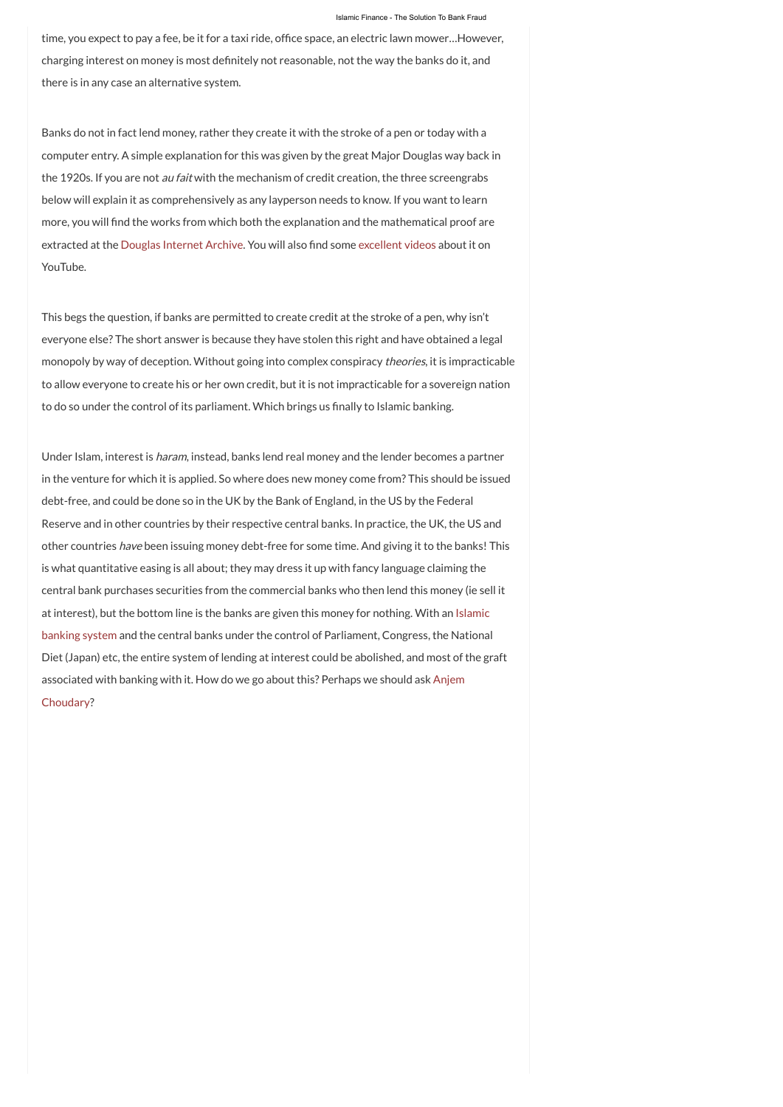time, you expect to pay a fee, be it for a taxi ride, office space, an electric lawn mower...However, charging interest on money is most definitely not [reasonable,](javascript:void(0);) not the way the banks do it, and there is in any case an alternative system.

This begs the question, if banks are permitted to create credit at the stroke of a pen, why isn't everyone else? The short answer is because they have stolen this right and have obtained a legal monopoly by way of deception. Without going into complex conspiracy theories, it is impracticable to allow everyone to create his or her own credit, but it is not impracticable for a sovereign nation to do so under the control of its parliament. Which brings us finally to Islamic banking.

Banks do not in fact lend money, rather they create it with the stroke of a pen or today with a computer entry. A simple explanation for this was given by the great Major Douglas way back in the 1920s. If you are not *au fait* with the mechanism of credit creation, the three screengrabs below will explain it as comprehensively as any layperson needs to know. If you want to learn more, you will find the works from which both the explanation and the mathematical proof are extracted at the Douglas [Internet](http://www.socred.org/) Archive. You will also find some [excellent](http://www.imdb.com/title/tt1828248/reviews-3) videos about it on YouTube.

Under Islam, interest is haram, instead, banks lend real money and the lender becomes a partner in the venture for which it is applied. So where does new money come from? This should be issued debt-free, and could be done so in the UK by the Bank of England, in the US by the Federal Reserve and in other countries by their respective central banks. In practice, the UK, the US and other countries have been issuing money debt-free for some time. And giving it to the banks! This is what quantitative easing is all about; they may dress it up with fancy language claiming the central bank purchases securities from the commercial banks who then lend this money (ie sell it at interest), but the bottom line is the banks are given this money for nothing. With an Islamic banking system and the central banks under the control of [Parliament,](http://www.islamic-banking.com/) Congress, the National Diet (Japan) etc, the entire system of lending at interest could be abolished, and most of the graft associated with banking with it. How do we go about this? Perhaps we should ask Anjem [Choudary?](https://www.infotextmanuscripts.org/tln/the-latest-news-71.pdf)